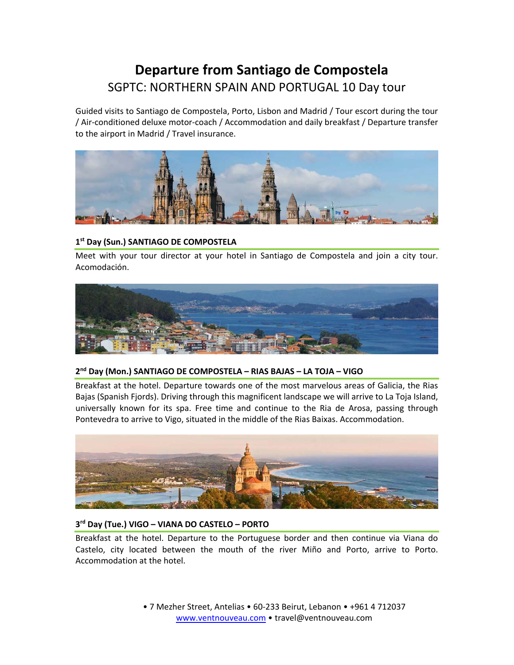# **Departure from Santiago de Compostela** SGPTC: NORTHERN SPAIN AND PORTUGAL 10 Day tour

Guided visits to Santiago de Compostela, Porto, Lisbon and Madrid / Tour escort during the tour / Air‐conditioned deluxe motor‐coach / Accommodation and daily breakfast / Departure transfer to the airport in Madrid / Travel insurance.



# **1st Day (Sun.) SANTIAGO DE COMPOSTELA**

Meet with your tour director at your hotel in Santiago de Compostela and join a city tour. Acomodación.



# **2nd Day (Mon.) SANTIAGO DE COMPOSTELA – RIAS BAJAS – LA TOJA – VIGO**

Breakfast at the hotel. Departure towards one of the most marvelous areas of Galicia, the Rias Bajas (Spanish Fjords). Driving through this magnificent landscape we will arrive to La Toja Island, universally known for its spa. Free time and continue to the Ria de Arosa, passing through Pontevedra to arrive to Vigo, situated in the middle of the Rias Baixas. Accommodation.



# **3rd Day (Tue.) VIGO – VIANA DO CASTELO – PORTO**

Breakfast at the hotel. Departure to the Portuguese border and then continue via Viana do Castelo, city located between the mouth of the river Miño and Porto, arrive to Porto. Accommodation at the hotel.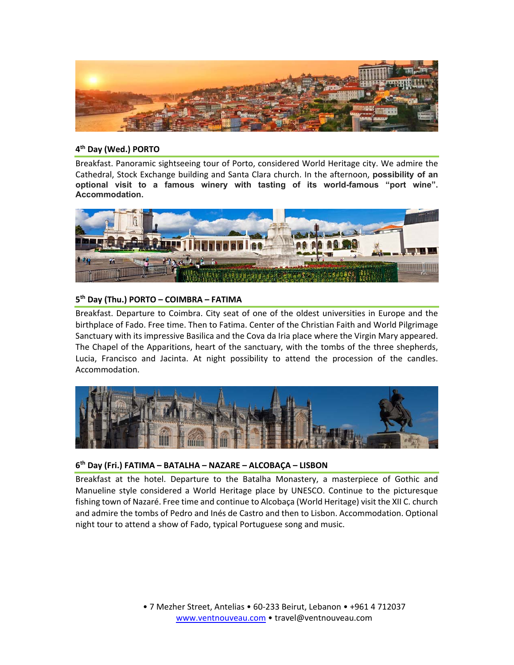

#### **4th Day (Wed.) PORTO**

Breakfast. Panoramic sightseeing tour of Porto, considered World Heritage city. We admire the Cathedral, Stock Exchange building and Santa Clara church. In the afternoon, **possibility of an optional visit to a famous winery with tasting of its world-famous "port wine". Accommodation.** 



# **5th Day (Thu.) PORTO – COIMBRA – FATIMA**

Breakfast. Departure to Coimbra. City seat of one of the oldest universities in Europe and the birthplace of Fado. Free time. Then to Fatima. Center of the Christian Faith and World Pilgrimage Sanctuary with its impressive Basilica and the Cova da Iria place where the Virgin Mary appeared. The Chapel of the Apparitions, heart of the sanctuary, with the tombs of the three shepherds, Lucia, Francisco and Jacinta. At night possibility to attend the procession of the candles. Accommodation.



#### **6th Day (Fri.) FATIMA – BATALHA – NAZARE – ALCOBAÇA – LISBON**

Breakfast at the hotel. Departure to the Batalha Monastery, a masterpiece of Gothic and Manueline style considered a World Heritage place by UNESCO. Continue to the picturesque fishing town of Nazaré. Free time and continue to Alcobaça (World Heritage) visit the XII C. church and admire the tombs of Pedro and Inés de Castro and then to Lisbon. Accommodation. Optional night tour to attend a show of Fado, typical Portuguese song and music.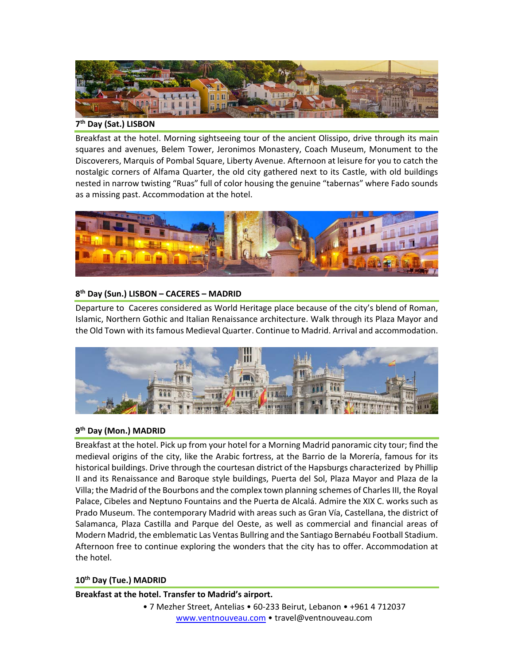

# **7th Day (Sat.) LISBON**

Breakfast at the hotel. Morning sightseeing tour of the ancient Olissipo, drive through its main squares and avenues, Belem Tower, Jeronimos Monastery, Coach Museum, Monument to the Discoverers, Marquis of Pombal Square, Liberty Avenue. Afternoon at leisure for you to catch the nostalgic corners of Alfama Quarter, the old city gathered next to its Castle, with old buildings nested in narrow twisting "Ruas" full of color housing the genuine "tabernas" where Fado sounds as a missing past. Accommodation at the hotel.



# **8th Day (Sun.) LISBON – CACERES – MADRID**

Departure to Caceres considered as World Heritage place because of the city's blend of Roman, Islamic, Northern Gothic and Italian Renaissance architecture. Walk through its Plaza Mayor and the Old Town with its famous Medieval Quarter. Continue to Madrid. Arrival and accommodation.



# **9th Day (Mon.) MADRID**

Breakfast at the hotel. Pick up from your hotel for a Morning Madrid panoramic city tour; find the medieval origins of the city, like the Arabic fortress, at the Barrio de la Morería, famous for its historical buildings. Drive through the courtesan district of the Hapsburgs characterized by Phillip II and its Renaissance and Baroque style buildings, Puerta del Sol, Plaza Mayor and Plaza de la Villa; the Madrid of the Bourbons and the complex town planning schemes of Charles III, the Royal Palace, Cibeles and Neptuno Fountains and the Puerta de Alcalá. Admire the XIX C. works such as Prado Museum. The contemporary Madrid with areas such as Gran Vía, Castellana, the district of Salamanca, Plaza Castilla and Parque del Oeste, as well as commercial and financial areas of Modern Madrid, the emblematic Las Ventas Bullring and the Santiago Bernabéu Football Stadium. Afternoon free to continue exploring the wonders that the city has to offer. Accommodation at the hotel.

# **10th Day (Tue.) MADRID**

**Breakfast at the hotel. Transfer to Madrid's airport.**